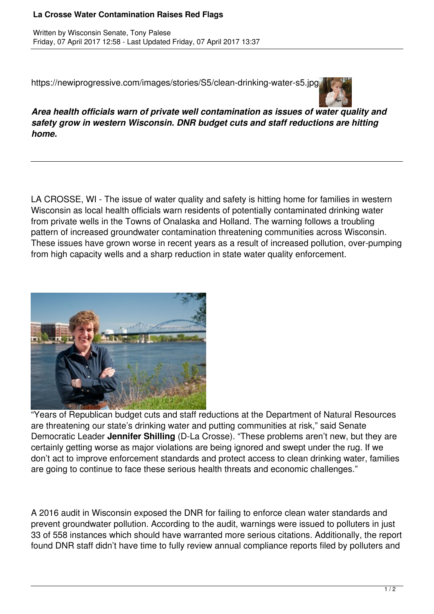## **La Crosse Water Contamination Raises Red Flags**

https://newiprogressive.com/images/stories/S5/clean-drinking-water-s5.jpg



*Area health officials warn of private well contamination as issues of water quality and safety grow in western Wisconsin. DNR budget cuts and staff reductions are hitting home.*

LA CROSSE, WI - The issue of water quality and safety is hitting home for families in western Wisconsin as local health officials warn residents of potentially contaminated drinking water from private wells in the Towns of Onalaska and Holland. The warning follows a troubling pattern of increased groundwater contamination threatening communities across Wisconsin. These issues have grown worse in recent years as a result of increased pollution, over-pumping from high capacity wells and a sharp reduction in state water quality enforcement.



"Years of Republican budget cuts and staff reductions at the Department of Natural Resources are threatening our state's drinking water and putting communities at risk," said Senate Democratic Leader **Jennifer Shilling** (D-La Crosse). "These problems aren't new, but they are certainly getting worse as major violations are being ignored and swept under the rug. If we don't act to improve enforcement standards and protect access to clean drinking water, families are going to continue to face these serious health threats and economic challenges."

A 2016 audit in Wisconsin exposed the DNR for failing to enforce clean water standards and prevent groundwater pollution. According to the audit, warnings were issued to polluters in just 33 of 558 instances which should have warranted more serious citations. Additionally, the report found DNR staff didn't have time to fully review annual compliance reports filed by polluters and